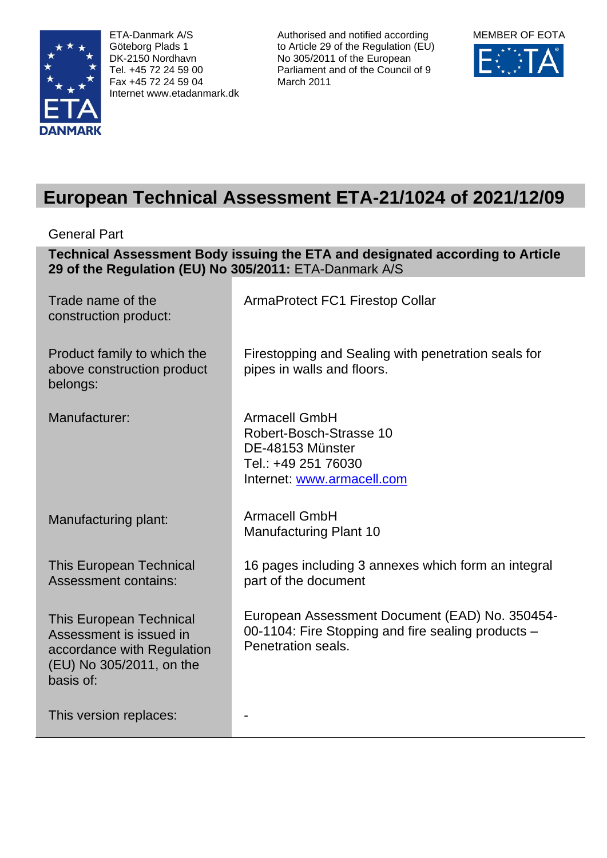

ETA-Danmark A/S Göteborg Plads 1 DK-2150 Nordhavn Tel. +45 72 24 59 00 Fax +45 72 24 59 04 Internet www.etadanmark.dk Authorised and notified according to Article 29 of the Regulation (EU) No 305/2011 of the European Parliament and of the Council of 9 March 2011



# **European Technical Assessment ETA-21/1024 of 2021/12/09**

General Part

**Technical Assessment Body issuing the ETA and designated according to Article 29 of the Regulation (EU) No 305/2011:** ETA-Danmark A/S

| Trade name of the<br>construction product:                                                                                       | <b>ArmaProtect FC1 Firestop Collar</b>                                                                                     |
|----------------------------------------------------------------------------------------------------------------------------------|----------------------------------------------------------------------------------------------------------------------------|
| Product family to which the<br>above construction product<br>belongs:                                                            | Firestopping and Sealing with penetration seals for<br>pipes in walls and floors.                                          |
| Manufacturer:                                                                                                                    | <b>Armacell GmbH</b><br>Robert-Bosch-Strasse 10<br>DE-48153 Münster<br>Tel.: +49 251 76030<br>Internet: www.armacell.com   |
| Manufacturing plant:                                                                                                             | <b>Armacell GmbH</b><br><b>Manufacturing Plant 10</b>                                                                      |
| <b>This European Technical</b><br><b>Assessment contains:</b>                                                                    | 16 pages including 3 annexes which form an integral<br>part of the document                                                |
| <b>This European Technical</b><br>Assessment is issued in<br>accordance with Regulation<br>(EU) No 305/2011, on the<br>basis of: | European Assessment Document (EAD) No. 350454-<br>00-1104: Fire Stopping and fire sealing products -<br>Penetration seals. |
| This version replaces:                                                                                                           |                                                                                                                            |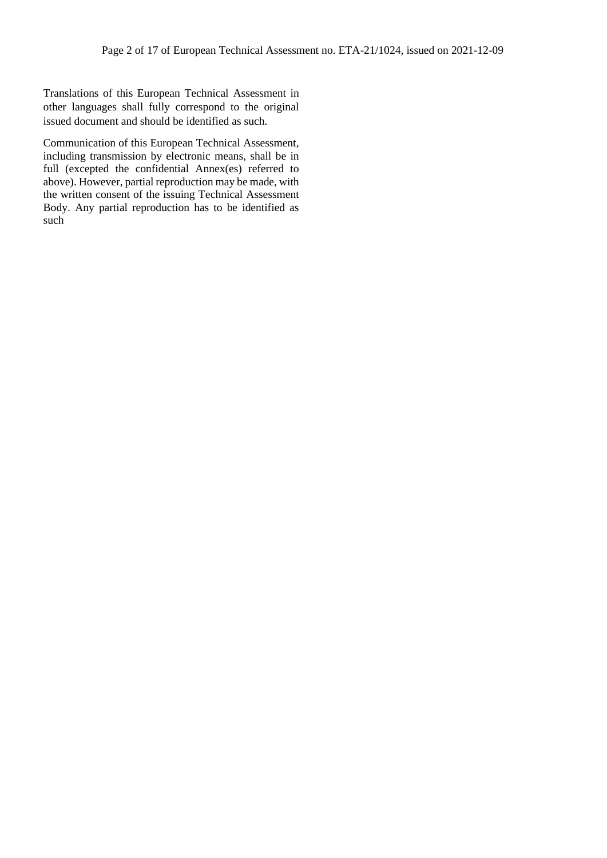Translations of this European Technical Assessment in other languages shall fully correspond to the original issued document and should be identified as such.

Communication of this European Technical Assessment, including transmission by electronic means, shall be in full (excepted the confidential Annex(es) referred to above). However, partial reproduction may be made, with the written consent of the issuing Technical Assessment Body. Any partial reproduction has to be identified as such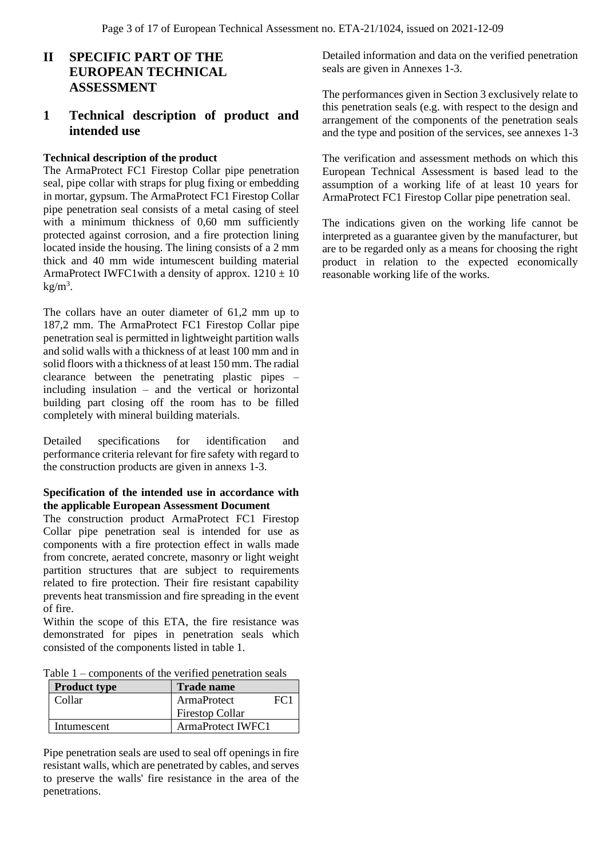### **II SPECIFIC PART OF THE EUROPEAN TECHNICAL ASSESSMENT**

### **1 Technical description of product and intended use**

#### **Technical description of the product**

The ArmaProtect FC1 Firestop Collar pipe penetration seal, pipe collar with straps for plug fixing or embedding in mortar, gypsum. The ArmaProtect FC1 Firestop Collar pipe penetration seal consists of a metal casing of steel with a minimum thickness of 0,60 mm sufficiently protected against corrosion, and a fire protection lining located inside the housing. The lining consists of a 2 mm thick and 40 mm wide intumescent building material ArmaProtect IWFC1with a density of approx.  $1210 \pm 10$  $kg/m<sup>3</sup>$ .

The collars have an outer diameter of 61,2 mm up to 187,2 mm. The ArmaProtect FC1 Firestop Collar pipe penetration seal is permitted in lightweight partition walls and solid walls with a thickness of at least 100 mm and in solid floors with a thickness of at least 150 mm. The radial clearance between the penetrating plastic pipes – including insulation – and the vertical or horizontal building part closing off the room has to be filled completely with mineral building materials.

Detailed specifications for identification and performance criteria relevant for fire safety with regard to the construction products are given in annexs 1-3.

#### **Specification of the intended use in accordance with the applicable European Assessment Document**

The construction product ArmaProtect FC1 Firestop Collar pipe penetration seal is intended for use as components with a fire protection effect in walls made from concrete, aerated concrete, masonry or light weight partition structures that are subject to requirements related to fire protection. Their fire resistant capability prevents heat transmission and fire spreading in the event of fire.

Within the scope of this ETA, the fire resistance was demonstrated for pipes in penetration seals which consisted of the components listed in table 1.

| Table $1$ – components of the verified penetration seals |  |  |  |
|----------------------------------------------------------|--|--|--|
|----------------------------------------------------------|--|--|--|

| <b>Product type</b> | <b>Trade name</b>        |      |
|---------------------|--------------------------|------|
| Collar              | ArmaProtect              | FC 1 |
|                     | <b>Firestop Collar</b>   |      |
| Intumescent         | <b>ArmaProtect IWFC1</b> |      |

Pipe penetration seals are used to seal off openings in fire resistant walls, which are penetrated by cables, and serves to preserve the walls' fire resistance in the area of the penetrations.

Detailed information and data on the verified penetration seals are given in Annexes 1-3.

The performances given in Section 3 exclusively relate to this penetration seals (e.g. with respect to the design and arrangement of the components of the penetration seals and the type and position of the services, see annexes 1-3

The verification and assessment methods on which this European Technical Assessment is based lead to the assumption of a working life of at least 10 years for ArmaProtect FC1 Firestop Collar pipe penetration seal.

The indications given on the working life cannot be interpreted as a guarantee given by the manufacturer, but are to be regarded only as a means for choosing the right product in relation to the expected economically reasonable working life of the works.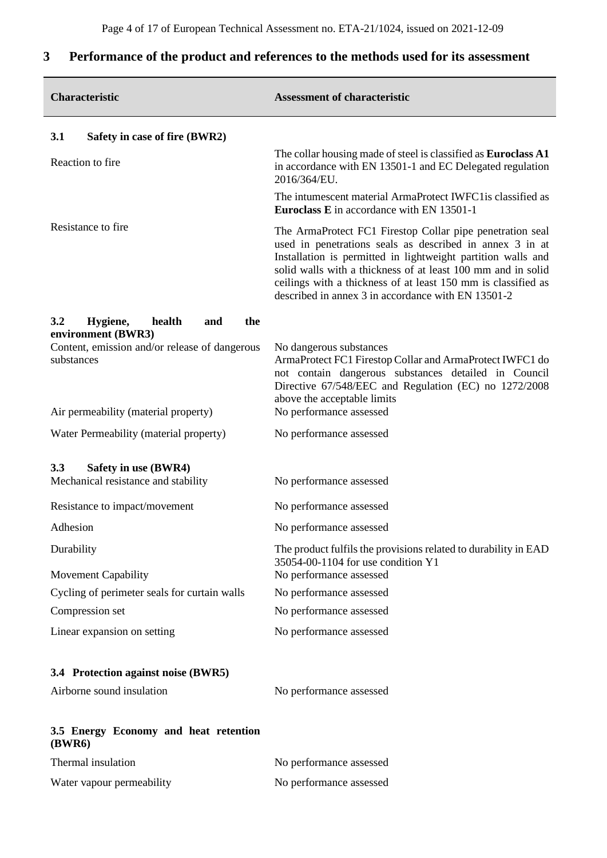## **Characteristic Assessment of characteristic 3.1 Safety in case of fire (BWR2)** Reaction to fire The collar housing made of steel is classified as **Euroclass A1**  in accordance with EN 13501-1 and EC Delegated regulation 2016/364/EU. The intumescent material ArmaProtect IWFC1is classified as **Euroclass E** in accordance with EN 13501-1 Resistance to fire<br>The ArmaProtect FC1 Firestop Collar pipe penetration seal used in penetrations seals as described in annex 3 in at Installation is permitted in lightweight partition walls and solid walls with a thickness of at least 100 mm and in solid ceilings with a thickness of at least 150 mm is classified as described in annex 3 in accordance with EN 13501-2 **3.2 Hygiene, health and the environment (BWR3)** Content, emission and/or release of dangerous substances No dangerous substances ArmaProtect FC1 Firestop Collar and ArmaProtect IWFC1 do not contain dangerous substances detailed in Council Directive 67/548/EEC and Regulation (EC) no 1272/2008 above the acceptable limits Air permeability (material property) No performance assessed Water Permeability (material property) No performance assessed **3.3 Safety in use (BWR4)** Mechanical resistance and stability No performance assessed Resistance to impact/movement No performance assessed Adhesion No performance assessed Durability The product fulfils the provisions related to durability in EAD 35054-00-1104 for use condition Y1 Movement Capability No performance assessed Cycling of perimeter seals for curtain walls No performance assessed Compression set No performance assessed Linear expansion on setting No performance assessed **3.4 Protection against noise (BWR5)** Airborne sound insulation No performance assessed **3.5 Energy Economy and heat retention (BWR6)**

#### **3 Performance of the product and references to the methods used for its assessment**

| Thermal insulation        | No performance assessed |
|---------------------------|-------------------------|
| Water vapour permeability | No performance assessed |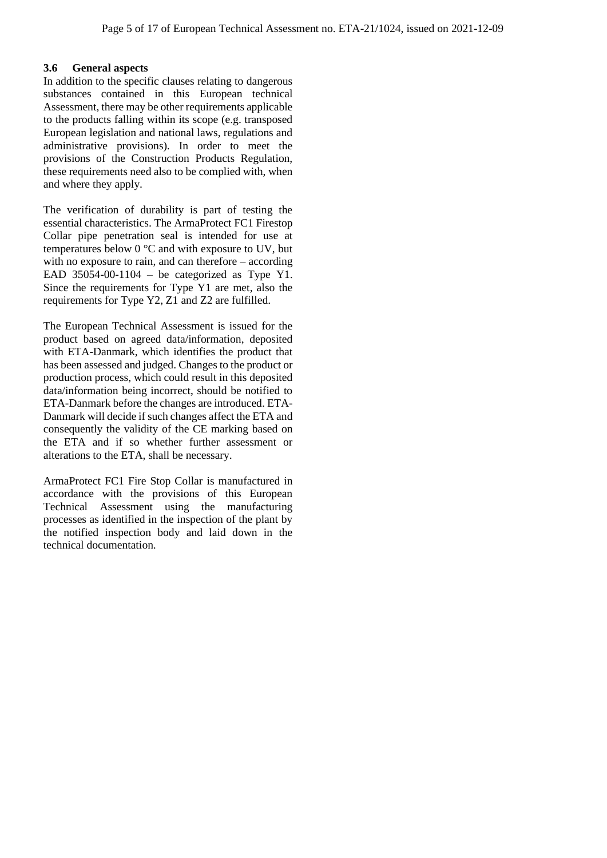#### **3.6 General aspects**

In addition to the specific clauses relating to dangerous substances contained in this European technical Assessment, there may be other requirements applicable to the products falling within its scope (e.g. transposed European legislation and national laws, regulations and administrative provisions). In order to meet the provisions of the Construction Products Regulation, these requirements need also to be complied with, when and where they apply.

The verification of durability is part of testing the essential characteristics. The ArmaProtect FC1 Firestop Collar pipe penetration seal is intended for use at temperatures below  $0^{\circ}$ C and with exposure to UV, but with no exposure to rain, and can therefore – according EAD 35054-00-1104 – be categorized as Type Y1. Since the requirements for Type Y1 are met, also the requirements for Type Y2, Z1 and Z2 are fulfilled.

The European Technical Assessment is issued for the product based on agreed data/information, deposited with ETA-Danmark, which identifies the product that has been assessed and judged. Changes to the product or production process, which could result in this deposited data/information being incorrect, should be notified to ETA-Danmark before the changes are introduced. ETA-Danmark will decide if such changes affect the ETA and consequently the validity of the CE marking based on the ETA and if so whether further assessment or alterations to the ETA, shall be necessary.

ArmaProtect FC1 Fire Stop Collar is manufactured in accordance with the provisions of this European Technical Assessment using the manufacturing processes as identified in the inspection of the plant by the notified inspection body and laid down in the technical documentation.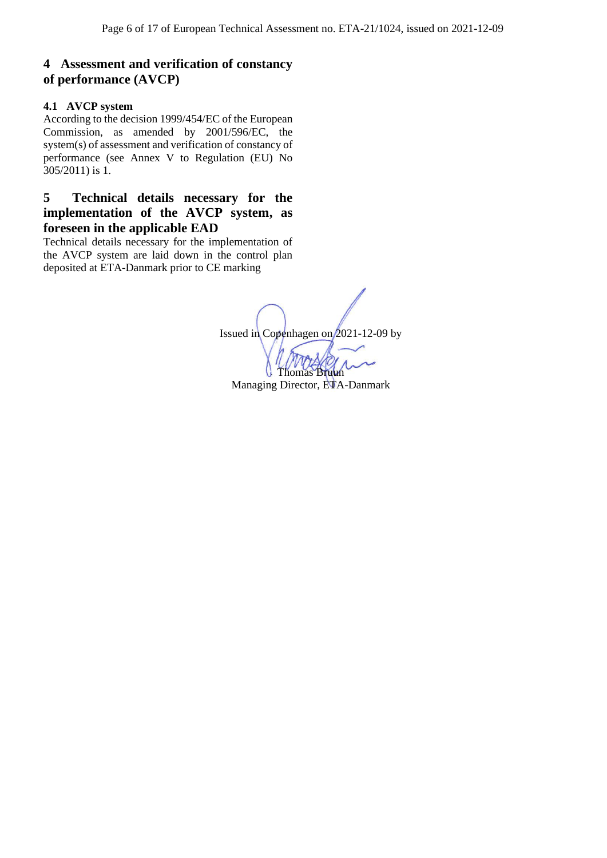### **4 Assessment and verification of constancy of performance (AVCP)**

#### **4.1 AVCP system**

According to the decision 1999/454/EC of the European Commission, as amended by 2001/596/EC, the system(s) of assessment and verification of constancy of performance (see Annex V to Regulation (EU) No 305/2011) is 1.

### **5 Technical details necessary for the implementation of the AVCP system, as foreseen in the applicable EAD**

Technical details necessary for the implementation of the AVCP system are laid down in the control plan deposited at ETA-Danmark prior to CE marking

Issued in Copenhagen on 2021-12-09 by Thomas Bruun

Managing Director, ETA-Danmark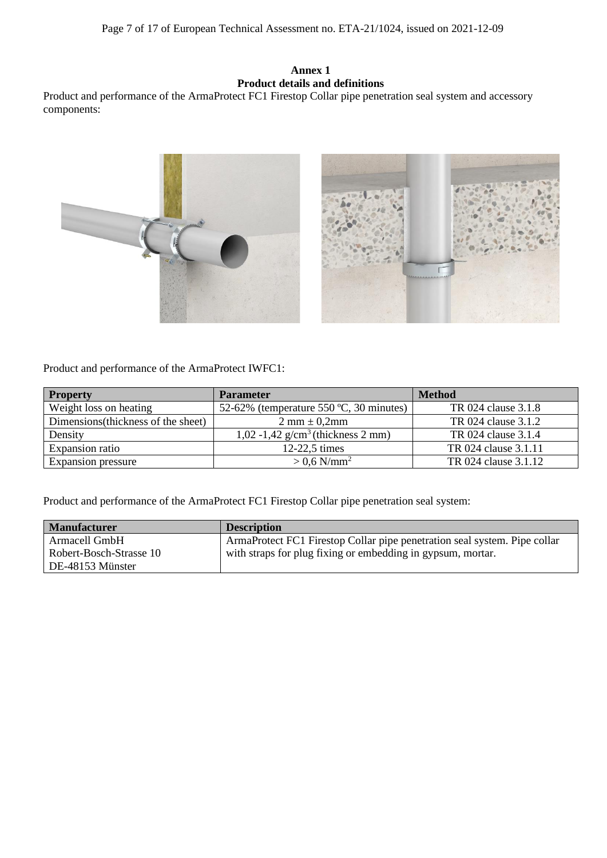#### **Annex 1 Product details and definitions**

Product and performance of the ArmaProtect FC1 Firestop Collar pipe penetration seal system and accessory components:



Product and performance of the ArmaProtect IWFC1:

| <b>Property</b>                     | <b>Parameter</b>                                 | <b>Method</b>        |
|-------------------------------------|--------------------------------------------------|----------------------|
| Weight loss on heating              | 52-62% (temperature 550 $°C$ , 30 minutes)       | TR 024 clause 3.1.8  |
| Dimensions (thickness of the sheet) | $2 \text{ mm} \pm 0,2 \text{ mm}$                | TR 024 clause 3.1.2  |
| Density                             | $1,02 - 1,42$ g/cm <sup>3</sup> (thickness 2 mm) | TR 024 clause 3.1.4  |
| Expansion ratio                     | $12-22,5$ times                                  | TR 024 clause 3.1.11 |
| Expansion pressure                  | $> 0.6$ N/mm <sup>2</sup>                        | TR 024 clause 3.1.12 |

Product and performance of the ArmaProtect FC1 Firestop Collar pipe penetration seal system:

| <b>Manufacturer</b>     | <b>Description</b>                                                        |
|-------------------------|---------------------------------------------------------------------------|
| Armacell GmbH           | ArmaProtect FC1 Firestop Collar pipe penetration seal system. Pipe collar |
| Robert-Bosch-Strasse 10 | with straps for plug fixing or embedding in gypsum, mortar.               |
| DE-48153 Münster        |                                                                           |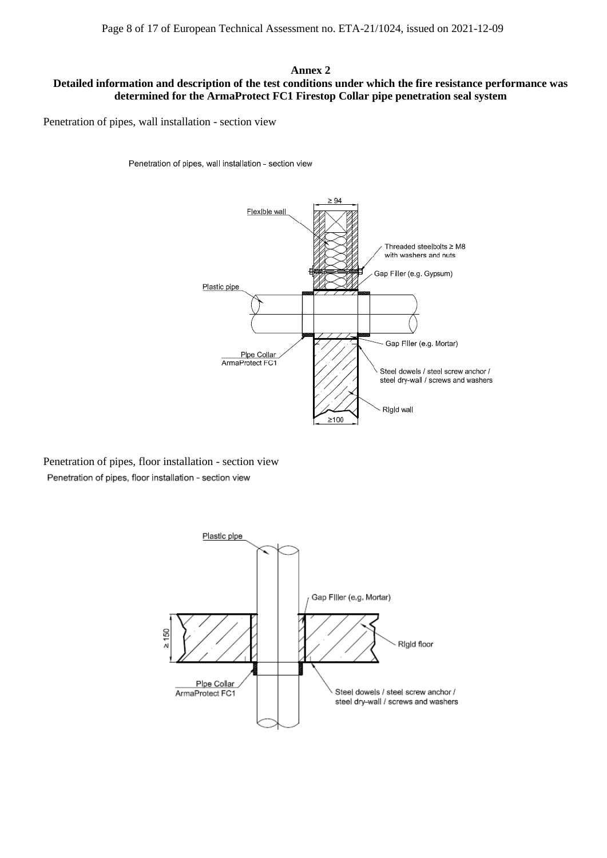#### **Annex 2**

#### **Detailed information and description of the test conditions under which the fire resistance performance was determined for the ArmaProtect FC1 Firestop Collar pipe penetration seal system**

Penetration of pipes, wall installation - section view

Penetration of pipes, wall installation - section view



Penetration of pipes, floor installation - section viewPenetration of pipes, floor installation - section view

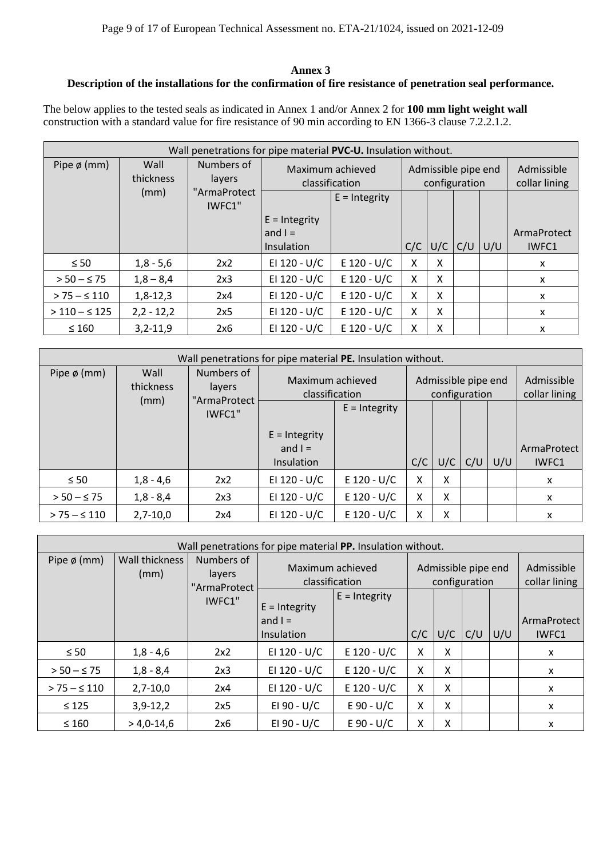#### **Annex 3**

#### **Description of the installations for the confirmation of fire resistance of penetration seal performance.**

The below applies to the tested seals as indicated in Annex 1 and/or Annex 2 for **100 mm light weight wall** construction with a standard value for fire resistance of 90 min according to EN 1366-3 clause 7.2.2.1.2.

| Wall penetrations for pipe material PVC-U. Insulation without. |                   |                        |                                    |                 |     |   |                                      |  |             |  |  |
|----------------------------------------------------------------|-------------------|------------------------|------------------------------------|-----------------|-----|---|--------------------------------------|--|-------------|--|--|
| Pipe $\phi$ (mm)                                               | Wall<br>thickness | Numbers of<br>layers   | Maximum achieved<br>classification |                 |     |   | Admissible pipe end<br>configuration |  |             |  |  |
|                                                                | (mm)              | "ArmaProtect<br>IWFC1" |                                    | $E = Integrity$ |     |   |                                      |  |             |  |  |
|                                                                |                   |                        | $E =$ Integrity                    |                 |     |   |                                      |  |             |  |  |
|                                                                |                   |                        | and $I =$                          |                 |     |   |                                      |  | ArmaProtect |  |  |
|                                                                |                   |                        | Insulation                         |                 | C/C |   | $U/C$ $C/U$ $U/U$                    |  | IWFC1       |  |  |
| $\leq 50$                                                      | $1,8 - 5,6$       | 2x2                    | EI 120 - U/C                       | $E$ 120 - U/C   | X   | x |                                      |  | X           |  |  |
| $> 50 - 575$                                                   | $1,8 - 8,4$       | 2x3                    | EI 120 - U/C                       | $E$ 120 - U/C   | x   | X |                                      |  | X           |  |  |
| $> 75 - 5110$                                                  | $1,8-12,3$        | 2x4                    | EI 120 - U/C                       | $E$ 120 - U/C   | X.  | X |                                      |  | X           |  |  |
| $>110 - S125$                                                  | $2,2 - 12,2$      | 2x5                    | EI 120 - U/C                       | $E$ 120 - U/C   | X.  | X |                                      |  | X           |  |  |
| $\leq 160$                                                     | $3,2-11,9$        | 2x6                    | EI 120 - U/C                       | $E$ 120 - U/C   | x   | x |                                      |  | X           |  |  |

| Wall penetrations for pipe material PE. Insulation without. |                           |                                                                            |                 |                 |     |                                      |     |     |                             |
|-------------------------------------------------------------|---------------------------|----------------------------------------------------------------------------|-----------------|-----------------|-----|--------------------------------------|-----|-----|-----------------------------|
| Pipe $\phi$ (mm)                                            | Wall<br>thickness<br>(mm) | Numbers of<br>Maximum achieved<br>layers<br>classification<br>"ArmaProtect |                 |                 |     | Admissible pipe end<br>configuration |     |     | Admissible<br>collar lining |
|                                                             |                           | IWFC1"                                                                     |                 | $E =$ Integrity |     |                                      |     |     |                             |
|                                                             |                           |                                                                            | $E =$ Integrity |                 |     |                                      |     |     |                             |
|                                                             |                           |                                                                            | and $I =$       |                 |     |                                      |     |     | ArmaProtect                 |
|                                                             |                           |                                                                            | Insulation      |                 | C/C | U/C                                  | C/U | U/U | IWFC1                       |
| $\leq 50$                                                   | $1,8 - 4,6$               | 2x2                                                                        | EI 120 - U/C    | $E$ 120 - U/C   | X   | X                                    |     |     | $\mathsf{x}$                |
| $> 50 - 575$                                                | $1,8 - 8,4$               | 2x3                                                                        | EI 120 - U/C    | $E$ 120 - U/C   | X   | x                                    |     |     | X                           |
| $> 75 - 5110$                                               | $2,7-10,0$                | 2x4                                                                        | EI 120 - U/C    | $E$ 120 - U/C   | Χ   | X                                    |     |     | X                           |

| Wall penetrations for pipe material PP. Insulation without. |                        |                                      |                                            |                 |     |                                      |     |     |                             |  |
|-------------------------------------------------------------|------------------------|--------------------------------------|--------------------------------------------|-----------------|-----|--------------------------------------|-----|-----|-----------------------------|--|
| Pipe $\phi$ (mm)                                            | Wall thickness<br>(mm) | Numbers of<br>layers<br>"ArmaProtect | Maximum achieved<br>classification         |                 |     | Admissible pipe end<br>configuration |     |     | Admissible<br>collar lining |  |
|                                                             |                        | IWFC1"                               | $E =$ Integrity<br>and $I =$<br>Insulation | $E =$ Integrity | C/C | U/C                                  | C/U | U/U | ArmaProtect<br>IWFC1        |  |
| $\leq 50$                                                   | $1,8 - 4,6$            | 2x2                                  | EI 120 - U/C                               | $E$ 120 - U/C   | X   | X                                    |     |     | X                           |  |
| $> 50 - 575$                                                | $1,8 - 8,4$            | 2x3                                  | EI 120 - U/C                               | $E$ 120 - U/C   | X   | X                                    |     |     | X                           |  |
| $> 75 - 5110$                                               | $2,7-10,0$             | 2x4                                  | EI 120 - U/C                               | $E$ 120 - U/C   | X   | X                                    |     |     | $\mathsf{x}$                |  |
| $\leq 125$                                                  | $3,9-12,2$             | 2x5                                  | EI 90 - U/C                                | $E 90 - U/C$    | X   | X                                    |     |     | X                           |  |
| $\leq 160$                                                  | $> 4,0-14,6$           | 2x6                                  | EI 90 - U/C                                | $E 90 - U/C$    | Χ   | X                                    |     |     | X                           |  |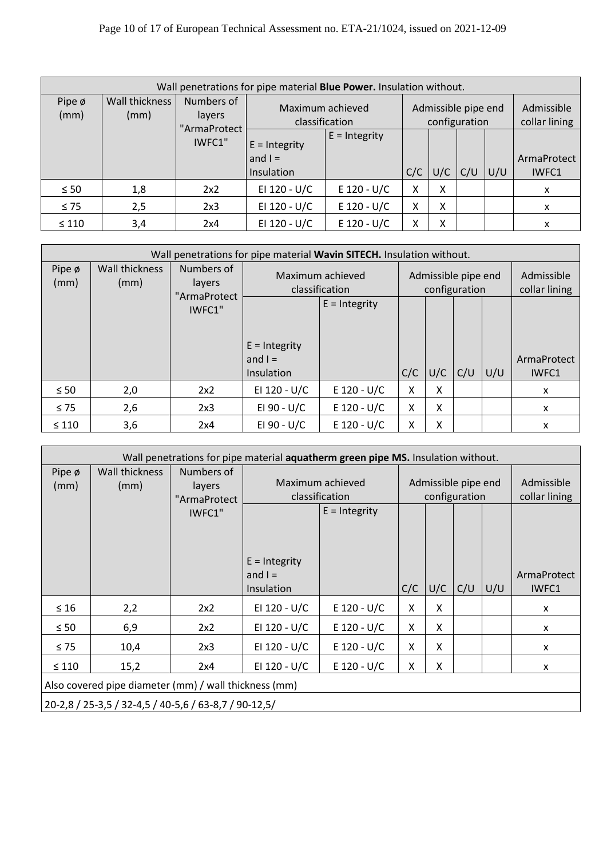|                     | Wall penetrations for pipe material <b>Blue Power.</b> Insulation without. |                        |                                            |                 |                                      |     |     |                             |                      |  |  |  |
|---------------------|----------------------------------------------------------------------------|------------------------|--------------------------------------------|-----------------|--------------------------------------|-----|-----|-----------------------------|----------------------|--|--|--|
| Pipe $\phi$<br>(mm) | Wall thickness<br>(mm)                                                     | Numbers of<br>layers   | Maximum achieved<br>classification         |                 | Admissible pipe end<br>configuration |     |     | Admissible<br>collar lining |                      |  |  |  |
|                     |                                                                            | "ArmaProtect<br>IWFC1" | $E = Integrity$<br>and $I =$<br>Insulation | $E =$ Integrity | C/C                                  | U/C | C/U | U/U                         | ArmaProtect<br>IWFC1 |  |  |  |
| $\leq 50$           | 1,8                                                                        | 2x2                    | EI 120 - U/C                               | $E$ 120 - U/C   | X                                    | X   |     |                             | x                    |  |  |  |
| $\leq 75$           | 2,5                                                                        | 2x3                    | EI 120 - U/C                               | $E$ 120 - U/C   | X                                    | X   |     |                             | X                    |  |  |  |
| $\leq 110$          | 3,4                                                                        | 2x4                    | EI 120 - U/C                               | $E$ 120 - U/C   | Χ                                    | X   |     |                             | x                    |  |  |  |

| Wall penetrations for pipe material Wavin SITECH. Insulation without. |                               |                                      |                                            |                 |     |                                      |     |     |                             |  |  |                             |
|-----------------------------------------------------------------------|-------------------------------|--------------------------------------|--------------------------------------------|-----------------|-----|--------------------------------------|-----|-----|-----------------------------|--|--|-----------------------------|
| Pipe ø<br>(mm)                                                        | <b>Wall thickness</b><br>(mm) | Numbers of<br>layers<br>"ArmaProtect | Maximum achieved<br>classification         |                 |     | Admissible pipe end<br>configuration |     |     |                             |  |  | Admissible<br>collar lining |
|                                                                       |                               | IWFC1"                               |                                            | $E =$ Integrity |     |                                      |     |     |                             |  |  |                             |
|                                                                       |                               |                                      | $E =$ Integrity<br>and $I =$<br>Insulation |                 | C/C | U/C                                  | C/U | U/U | ArmaProtect<br><b>IWFC1</b> |  |  |                             |
| $\leq 50$                                                             | 2,0                           | 2x2                                  | EI 120 - U/C                               | $E$ 120 - U/C   | X   | X                                    |     |     | X                           |  |  |                             |
| $\leq 75$                                                             | 2,6                           | 2x3                                  | EI 90 - U/C                                | $E$ 120 - U/C   | X   | X                                    |     |     | X                           |  |  |                             |
| $\leq 110$                                                            | 3,6                           | 2x4                                  | EI 90 - U/C                                | $E$ 120 - U/C   | Χ   | X                                    |     |     | x                           |  |  |                             |

|                | Wall penetrations for pipe material aquatherm green pipe MS. Insulation without. |                                      |                                    |                                      |     |     |     |                             |              |  |
|----------------|----------------------------------------------------------------------------------|--------------------------------------|------------------------------------|--------------------------------------|-----|-----|-----|-----------------------------|--------------|--|
| Pipe ø<br>(mm) | Wall thickness<br>(mm)                                                           | Numbers of<br>layers<br>"ArmaProtect | Maximum achieved<br>classification | Admissible pipe end<br>configuration |     |     |     | Admissible<br>collar lining |              |  |
|                |                                                                                  | IWFC1"                               |                                    | $E =$ Integrity                      |     |     |     |                             |              |  |
|                |                                                                                  |                                      | $E =$ Integrity                    |                                      |     |     |     |                             |              |  |
|                |                                                                                  |                                      | and $I =$                          |                                      |     |     |     |                             | ArmaProtect  |  |
|                |                                                                                  |                                      | Insulation                         |                                      | C/C | U/C | C/U | U/U                         | IWFC1        |  |
| $\leq 16$      | 2,2                                                                              | 2x2                                  | EI 120 - U/C                       | $E$ 120 - U/C                        | X   | X   |     |                             | X            |  |
| $\leq 50$      | 6,9                                                                              | 2x2                                  | EI 120 - U/C                       | $E$ 120 - U/C                        | X   | X   |     |                             | $\mathsf{x}$ |  |
| $\leq 75$      | 10,4                                                                             | 2x3                                  | EI 120 - U/C                       | $E$ 120 - U/C                        | X   | X   |     |                             | X            |  |
| $\leq 110$     | 15,2                                                                             | 2x4                                  | EI 120 - U/C                       | $E$ 120 - U/C                        | X   | X   |     |                             | X            |  |
|                | Also covered pipe diameter (mm) / wall thickness (mm)                            |                                      |                                    |                                      |     |     |     |                             |              |  |
|                | 20-2,8 / 25-3,5 / 32-4,5 / 40-5,6 / 63-8,7 / 90-12,5 /                           |                                      |                                    |                                      |     |     |     |                             |              |  |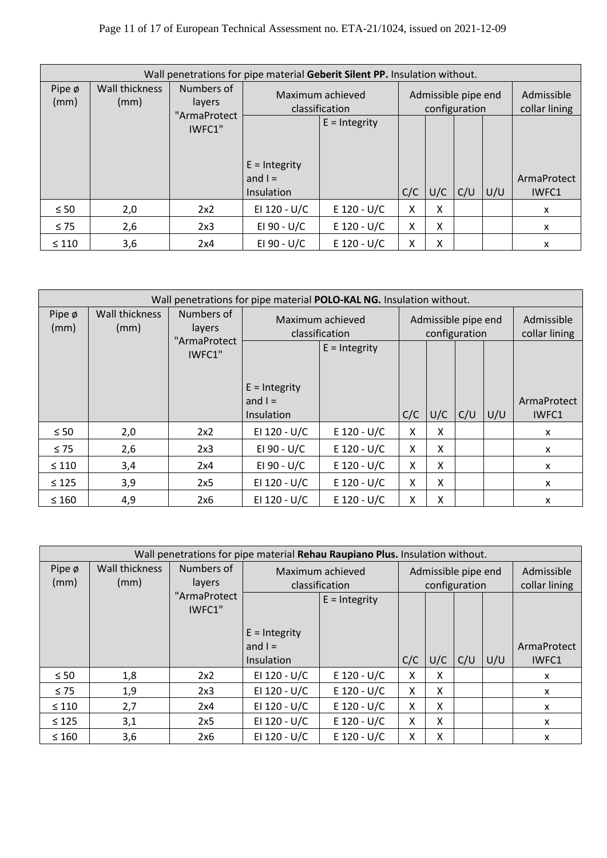### Page 11 of 17 of European Technical Assessment no. ETA-21/1024, issued on 2021-12-09

|                     | Wall penetrations for pipe material Geberit Silent PP. Insulation without. |                                                            |                              |                 |                                      |                             |     |     |             |  |  |
|---------------------|----------------------------------------------------------------------------|------------------------------------------------------------|------------------------------|-----------------|--------------------------------------|-----------------------------|-----|-----|-------------|--|--|
| Pipe $\phi$<br>(mm) | Wall thickness<br>(mm)                                                     | Numbers of<br>Maximum achieved<br>layers<br>classification |                              |                 | Admissible pipe end<br>configuration | Admissible<br>collar lining |     |     |             |  |  |
|                     |                                                                            | "ArmaProtect<br>IWFC1"                                     |                              | $E = Integrity$ |                                      |                             |     |     |             |  |  |
|                     |                                                                            |                                                            | $E =$ Integrity<br>and $I =$ |                 |                                      |                             |     |     | ArmaProtect |  |  |
|                     |                                                                            |                                                            | Insulation                   |                 | C/C                                  | U/C                         | C/U | U/U | IWFC1       |  |  |
| $\leq 50$           | 2,0                                                                        | 2x2                                                        | EI 120 - U/C                 | $E$ 120 - U/C   | x                                    | x                           |     |     | x           |  |  |
| $\leq 75$           | 2,6                                                                        | 2x3                                                        | EI 90 - U/C                  | $E$ 120 - U/C   | X                                    | X                           |     |     | x           |  |  |
| $\leq 110$          | 3,6                                                                        | 2x4                                                        | EI 90 - U/C                  | $E$ 120 - U/C   | x                                    | x                           |     |     | X           |  |  |

|                | Wall penetrations for pipe material POLO-KAL NG. Insulation without. |                        |                                            |                 |     |                                      |                             |     |                      |  |  |
|----------------|----------------------------------------------------------------------|------------------------|--------------------------------------------|-----------------|-----|--------------------------------------|-----------------------------|-----|----------------------|--|--|
| Pipe ø<br>(mm) | Wall thickness<br>(mm)                                               | Numbers of<br>layers   | Maximum achieved<br>classification         |                 |     | Admissible pipe end<br>configuration | Admissible<br>collar lining |     |                      |  |  |
|                |                                                                      | "ArmaProtect<br>IWFC1" |                                            | $E =$ Integrity |     |                                      |                             |     |                      |  |  |
|                |                                                                      |                        | $E =$ Integrity<br>and $I =$<br>Insulation |                 | C/C | U/C                                  | C/U                         | U/U | ArmaProtect<br>IWFC1 |  |  |
| $\leq 50$      | 2,0                                                                  | 2x2                    | EI 120 - U/C                               | $E$ 120 - U/C   | X   | x                                    |                             |     | X                    |  |  |
| $\leq 75$      | 2,6                                                                  | 2x3                    | EI 90 - U/C                                | $E$ 120 - U/C   | X   | X                                    |                             |     | x                    |  |  |
| $\leq 110$     | 3,4                                                                  | 2x4                    | EI 90 - U/C                                | $E$ 120 - U/C   | X   | x                                    |                             |     | $\mathsf{x}$         |  |  |
| $\leq 125$     | 3,9                                                                  | 2x5                    | EI 120 - U/C                               | $E$ 120 - U/C   | X   | x                                    |                             |     | $\mathsf{x}$         |  |  |
| $\leq 160$     | 4,9                                                                  | 2x6                    | EI 120 - U/C                               | $E$ 120 - U/C   | X   | X                                    |                             |     | X                    |  |  |

|                     | Wall penetrations for pipe material Rehau Raupiano Plus. Insulation without. |                        |                                    |               |     |                                      |                             |     |              |  |  |
|---------------------|------------------------------------------------------------------------------|------------------------|------------------------------------|---------------|-----|--------------------------------------|-----------------------------|-----|--------------|--|--|
| Pipe $\phi$<br>(mm) | Wall thickness<br>(mm)                                                       | Numbers of<br>layers   | Maximum achieved<br>classification |               |     | Admissible pipe end<br>configuration | Admissible<br>collar lining |     |              |  |  |
|                     |                                                                              | "ArmaProtect<br>IWFC1" | $E =$ Integrity                    |               |     |                                      |                             |     |              |  |  |
|                     |                                                                              |                        | $E =$ Integrity                    |               |     |                                      |                             |     |              |  |  |
|                     |                                                                              |                        | and $I =$                          |               |     |                                      |                             |     | ArmaProtect  |  |  |
|                     |                                                                              |                        | <b>Insulation</b>                  |               | C/C | U/C                                  | C/U                         | U/U | IWFC1        |  |  |
| $\leq 50$           | 1,8                                                                          | 2x2                    | EI 120 - U/C                       | $E$ 120 - U/C | x   | x                                    |                             |     | X            |  |  |
| $\leq 75$           | 1,9                                                                          | 2x3                    | EI 120 - U/C                       | $E$ 120 - U/C | X   | x                                    |                             |     | X            |  |  |
| $\leq 110$          | 2,7                                                                          | 2x4                    | EI 120 - U/C                       | $E$ 120 - U/C | X   | X                                    |                             |     | X            |  |  |
| $\leq 125$          | 3,1                                                                          | 2x5                    | EI 120 - U/C                       | $E$ 120 - U/C | X   | X                                    |                             |     | $\mathsf{x}$ |  |  |
| $\leq 160$          | 3,6                                                                          | 2x6                    | EI 120 - U/C                       | $E$ 120 - U/C | x   | X                                    |                             |     | X            |  |  |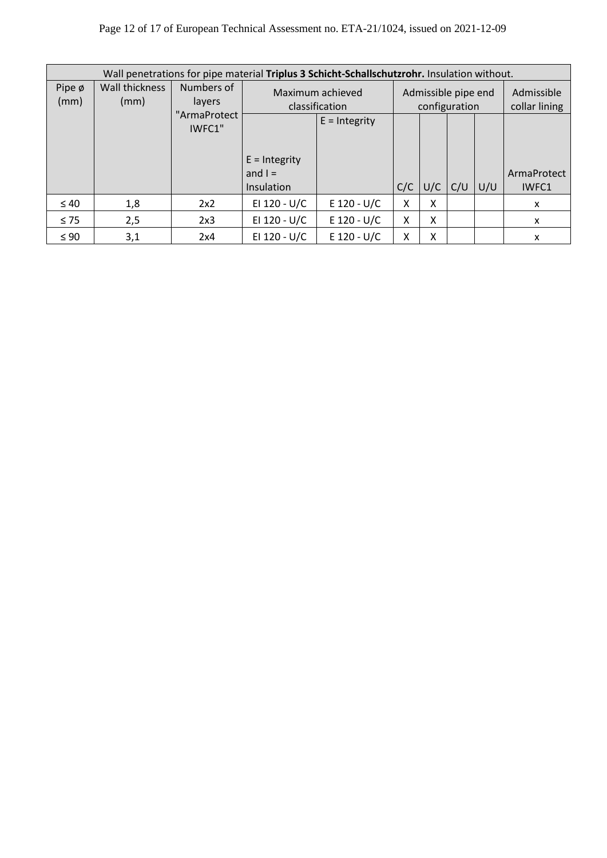### Page 12 of 17 of European Technical Assessment no. ETA-21/1024, issued on 2021-12-09

|                     | Wall penetrations for pipe material Triplus 3 Schicht-Schallschutzrohr. Insulation without. |                        |                                            |                                    |     |                                      |                             |     |                      |  |  |
|---------------------|---------------------------------------------------------------------------------------------|------------------------|--------------------------------------------|------------------------------------|-----|--------------------------------------|-----------------------------|-----|----------------------|--|--|
| Pipe $\phi$<br>(mm) | Wall thickness<br>(mm)                                                                      | Numbers of<br>layers   |                                            | Maximum achieved<br>classification |     | Admissible pipe end<br>configuration | Admissible<br>collar lining |     |                      |  |  |
|                     |                                                                                             | "ArmaProtect<br>IWFC1" |                                            | $E =$ Integrity                    |     |                                      |                             |     |                      |  |  |
|                     |                                                                                             |                        | $E =$ Integrity<br>and $I =$<br>Insulation |                                    | C/C | $U/C$ $C/U$                          |                             | U/U | ArmaProtect<br>IWFC1 |  |  |
| $\leq 40$           | 1,8                                                                                         | 2x2                    | EI 120 - U/C                               | $E$ 120 - U/C                      | x   | x                                    |                             |     | X                    |  |  |
| $\leq 75$           | 2,5                                                                                         | 2x3                    | EI 120 - U/C                               | $E$ 120 - U/C                      | X   | x                                    |                             |     | X                    |  |  |
| $\leq 90$           | 3,1                                                                                         | 2x4                    | EI 120 - U/C                               | $E$ 120 - U/C                      | χ   | χ                                    |                             |     | X                    |  |  |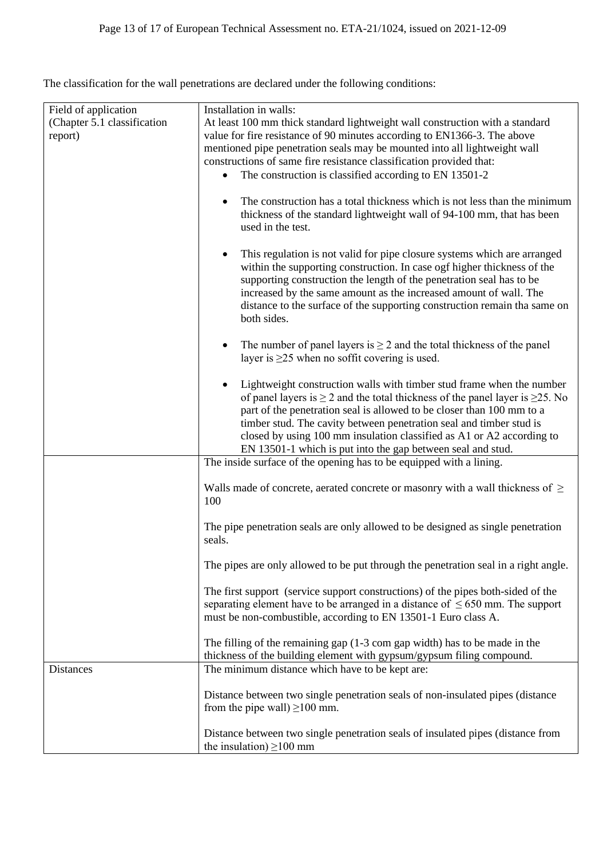The classification for the wall penetrations are declared under the following conditions:

| Field of application<br>(Chapter 5.1 classification | Installation in walls:<br>At least 100 mm thick standard lightweight wall construction with a standard                                                                                                                                                                                                                                                                                                                                                                 |
|-----------------------------------------------------|------------------------------------------------------------------------------------------------------------------------------------------------------------------------------------------------------------------------------------------------------------------------------------------------------------------------------------------------------------------------------------------------------------------------------------------------------------------------|
| report)                                             | value for fire resistance of 90 minutes according to EN1366-3. The above<br>mentioned pipe penetration seals may be mounted into all lightweight wall                                                                                                                                                                                                                                                                                                                  |
|                                                     | constructions of same fire resistance classification provided that:                                                                                                                                                                                                                                                                                                                                                                                                    |
|                                                     | The construction is classified according to EN 13501-2<br>$\bullet$                                                                                                                                                                                                                                                                                                                                                                                                    |
|                                                     | The construction has a total thickness which is not less than the minimum<br>$\bullet$<br>thickness of the standard lightweight wall of 94-100 mm, that has been<br>used in the test.                                                                                                                                                                                                                                                                                  |
|                                                     | This regulation is not valid for pipe closure systems which are arranged<br>$\bullet$<br>within the supporting construction. In case ogf higher thickness of the<br>supporting construction the length of the penetration seal has to be<br>increased by the same amount as the increased amount of wall. The<br>distance to the surface of the supporting construction remain tha same on<br>both sides.                                                              |
|                                                     | The number of panel layers is $\geq 2$ and the total thickness of the panel<br>٠<br>layer is $\geq$ 25 when no soffit covering is used.                                                                                                                                                                                                                                                                                                                                |
|                                                     | Lightweight construction walls with timber stud frame when the number<br>$\bullet$<br>of panel layers is $\geq 2$ and the total thickness of the panel layer is $\geq 25$ . No<br>part of the penetration seal is allowed to be closer than 100 mm to a<br>timber stud. The cavity between penetration seal and timber stud is<br>closed by using 100 mm insulation classified as A1 or A2 according to<br>EN 13501-1 which is put into the gap between seal and stud. |
|                                                     | The inside surface of the opening has to be equipped with a lining.                                                                                                                                                                                                                                                                                                                                                                                                    |
|                                                     | Walls made of concrete, aerated concrete or masonry with a wall thickness of $\geq$<br>100                                                                                                                                                                                                                                                                                                                                                                             |
|                                                     | The pipe penetration seals are only allowed to be designed as single penetration<br>seals.                                                                                                                                                                                                                                                                                                                                                                             |
|                                                     | The pipes are only allowed to be put through the penetration seal in a right angle.                                                                                                                                                                                                                                                                                                                                                                                    |
|                                                     | The first support (service support constructions) of the pipes both-sided of the<br>separating element have to be arranged in a distance of $\leq 650$ mm. The support<br>must be non-combustible, according to EN 13501-1 Euro class A.                                                                                                                                                                                                                               |
|                                                     | The filling of the remaining gap $(1-3 \text{ com gap width})$ has to be made in the<br>thickness of the building element with gypsum/gypsum filing compound.                                                                                                                                                                                                                                                                                                          |
| <b>Distances</b>                                    | The minimum distance which have to be kept are:                                                                                                                                                                                                                                                                                                                                                                                                                        |
|                                                     | Distance between two single penetration seals of non-insulated pipes (distance<br>from the pipe wall) $\geq$ 100 mm.                                                                                                                                                                                                                                                                                                                                                   |
|                                                     | Distance between two single penetration seals of insulated pipes (distance from<br>the insulation) $\geq$ 100 mm                                                                                                                                                                                                                                                                                                                                                       |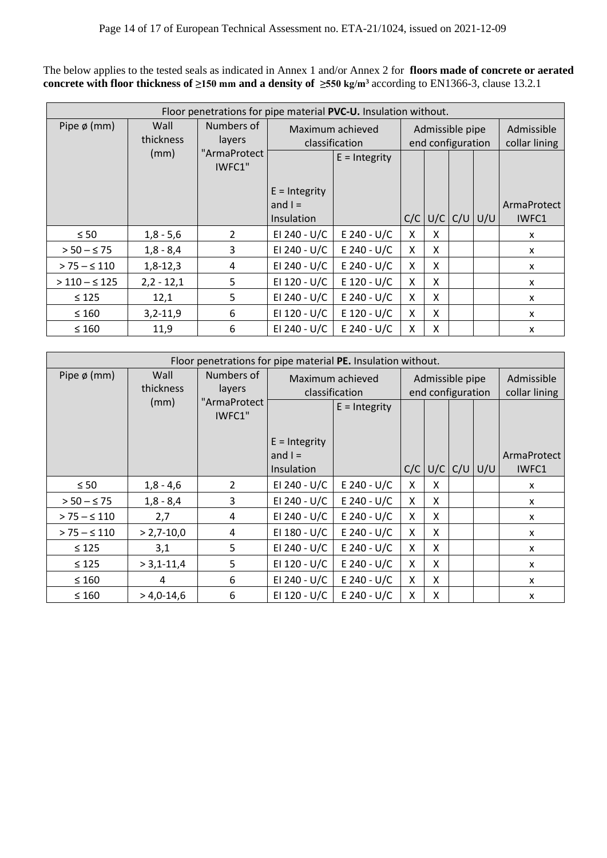The below applies to the tested seals as indicated in Annex 1 and/or Annex 2 for **floors made of concrete or aerated concrete with floor thickness of ≥150 mm and a density of ≥550 kg/m<sup>3</sup>** according to EN1366-3, clause 13.2.1

|                  | Floor penetrations for pipe material PVC-U. Insulation without. |                        |                                                   |                 |     |                                      |  |                   |                             |  |  |
|------------------|-----------------------------------------------------------------|------------------------|---------------------------------------------------|-----------------|-----|--------------------------------------|--|-------------------|-----------------------------|--|--|
| Pipe $\phi$ (mm) | Wall<br>thickness                                               | Numbers of<br>layers   | Maximum achieved<br>classification                |                 |     | Admissible pipe<br>end configuration |  |                   | Admissible<br>collar lining |  |  |
|                  | (mm)                                                            | "ArmaProtect<br>IWFC1" |                                                   | $E =$ Integrity |     |                                      |  |                   |                             |  |  |
|                  |                                                                 |                        | $E =$ Integrity<br>and $I =$<br><b>Insulation</b> |                 | C/C |                                      |  | $U/C$ $C/U$ $U/U$ | ArmaProtect<br>IWFC1        |  |  |
| $\leq 50$        | $1,8 - 5,6$                                                     | $\mathcal{L}$          | EI 240 - U/C                                      | E 240 - U/C     | X   | X                                    |  |                   | X                           |  |  |
| $> 50 - \leq 75$ | $1,8 - 8,4$                                                     | 3                      | EI 240 - U/C                                      | E 240 - U/C     | X   | X                                    |  |                   | X                           |  |  |
| $> 75 - 5110$    | $1,8-12,3$                                                      | 4                      | EI 240 - U/C                                      | $E$ 240 - U/C   | X   | X                                    |  |                   | X                           |  |  |
| $>110 - S125$    | $2,2 - 12,1$                                                    | 5                      | EI 120 - U/C                                      | $E$ 120 - U/C   | X   | X                                    |  |                   | X                           |  |  |
| $\leq 125$       | 12,1                                                            | 5                      | EI 240 - U/C                                      | E 240 - U/C     | X   | X                                    |  |                   | X                           |  |  |
| $\leq 160$       | $3,2-11,9$                                                      | 6                      | EI 120 - U/C                                      | $E$ 120 - U/C   | X   | X                                    |  |                   | X                           |  |  |
| $\leq 160$       | 11,9                                                            | 6                      | EI 240 - U/C                                      | E 240 - U/C     | X   | X                                    |  |                   | X                           |  |  |

|                  | Floor penetrations for pipe material PE. Insulation without. |                        |                   |                 |                 |                   |               |             |              |  |  |
|------------------|--------------------------------------------------------------|------------------------|-------------------|-----------------|-----------------|-------------------|---------------|-------------|--------------|--|--|
| Pipe $\phi$ (mm) | Wall                                                         | Numbers of             | Maximum achieved  |                 | Admissible pipe |                   |               | Admissible  |              |  |  |
|                  | thickness                                                    | layers                 |                   | classification  |                 | end configuration | collar lining |             |              |  |  |
|                  | (mm)                                                         | "ArmaProtect<br>IWFC1" |                   | $E =$ Integrity |                 |                   |               |             |              |  |  |
|                  |                                                              |                        | $E =$ Integrity   |                 |                 |                   |               |             |              |  |  |
|                  |                                                              |                        | and $I =$         |                 |                 |                   |               |             | ArmaProtect  |  |  |
|                  |                                                              |                        | <b>Insulation</b> |                 | C/C             | U/C               |               | $C/U$ $U/U$ | IWFC1        |  |  |
| $\leq 50$        | $1,8 - 4,6$                                                  | $\overline{2}$         | EI 240 - U/C      | $E$ 240 - U/C   | X               | X                 |               |             | x            |  |  |
| $> 50 - \leq 75$ | $1,8 - 8,4$                                                  | 3                      | EI 240 - U/C      | $E$ 240 - U/C   | X               | X                 |               |             | X            |  |  |
| $> 75 - 5110$    | 2,7                                                          | 4                      | EI 240 - U/C      | $E$ 240 - U/C   | X               | X                 |               |             | $\mathsf{x}$ |  |  |
| $> 75 - 5110$    | $> 2,7-10,0$                                                 | 4                      | EI 180 - U/C      | $E$ 240 - U/C   | $\mathsf{X}$    | X                 |               |             | $\mathsf{x}$ |  |  |
| $\leq 125$       | 3,1                                                          | 5                      | EI 240 - U/C      | $E$ 240 - U/C   | X               | X                 |               |             | $\mathsf{x}$ |  |  |
| $\leq 125$       | $> 3,1-11,4$                                                 | 5                      | EI 120 - U/C      | $E$ 240 - U/C   | X               | X                 |               |             | x            |  |  |
| $\leq 160$       | 4                                                            | 6                      | EI 240 - U/C      | $E$ 240 - U/C   | X               | X                 |               |             | x            |  |  |
| $\leq 160$       | $> 4,0-14,6$                                                 | 6                      | EI 120 - U/C      | $E$ 240 - U/C   | X               | X                 |               |             | X            |  |  |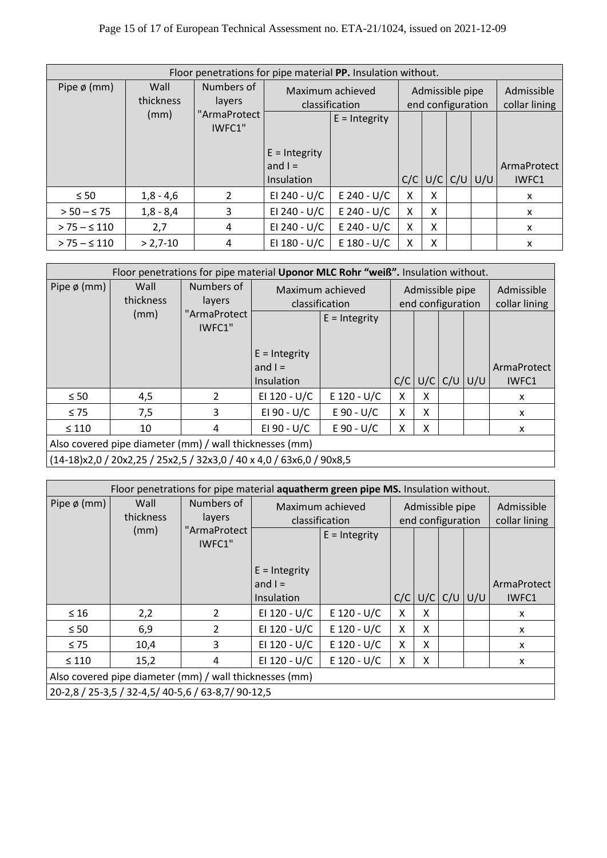### Page 15 of 17 of European Technical Assessment no. ETA-21/1024, issued on 2021-12-09

| Floor penetrations for pipe material PP. Insulation without. |                   |                        |                                    |                 |     |                                      |  |                             |                      |  |
|--------------------------------------------------------------|-------------------|------------------------|------------------------------------|-----------------|-----|--------------------------------------|--|-----------------------------|----------------------|--|
| Pipe $\phi$ (mm)                                             | Wall<br>thickness | Numbers of<br>layers   | Maximum achieved<br>classification |                 |     | Admissible pipe<br>end configuration |  | Admissible<br>collar lining |                      |  |
|                                                              | (mm)              | "ArmaProtect<br>IWFC1" |                                    | $E =$ Integrity |     |                                      |  |                             |                      |  |
|                                                              |                   |                        | $E =$ Integrity                    |                 |     |                                      |  |                             |                      |  |
|                                                              |                   |                        | and $I =$<br>Insulation            |                 | C/C |                                      |  | $U/C$ $C/U$ $U/U$           | ArmaProtect<br>IWFC1 |  |
| $\leq 50$                                                    | $1,8 - 4,6$       | 2                      | EI 240 - U/C                       | $E$ 240 - U/C   | X   | X                                    |  |                             | X                    |  |
| $> 50 - \leq 75$                                             | $1,8 - 8,4$       | 3                      | EI 240 - U/C                       | $E$ 240 - U/C   | X   | X                                    |  |                             | X                    |  |
| $> 75 - 5110$                                                | 2,7               | 4                      | EI 240 - U/C                       | $E$ 240 - U/C   | X   | X                                    |  |                             | X                    |  |
| $> 75 - 5110$                                                | $> 2,7-10$        | 4                      | EI 180 - U/C                       | $E$ 180 - U/C   | X   | Χ                                    |  |                             | X                    |  |

|                                                                      |                   | Floor penetrations for pipe material Uponor MLC Rohr "weiß". Insulation without. |                 |                                    |     |                                      |  |                   |                             |
|----------------------------------------------------------------------|-------------------|----------------------------------------------------------------------------------|-----------------|------------------------------------|-----|--------------------------------------|--|-------------------|-----------------------------|
| Pipe $\phi$ (mm)                                                     | Wall<br>thickness | Numbers of<br>layers                                                             |                 | Maximum achieved<br>classification |     | Admissible pipe<br>end configuration |  |                   | Admissible<br>collar lining |
|                                                                      | (mm)              | "ArmaProtect<br>IWFC1"                                                           |                 | $E =$ Integrity                    |     |                                      |  |                   |                             |
|                                                                      |                   |                                                                                  | $E =$ Integrity |                                    |     |                                      |  |                   |                             |
|                                                                      |                   |                                                                                  | and $I =$       |                                    |     |                                      |  |                   | ArmaProtect                 |
|                                                                      |                   |                                                                                  | Insulation      |                                    | C/C |                                      |  | $U/C$ $C/U$ $U/U$ | IWFC1                       |
| $\leq 50$                                                            | 4,5               | 2                                                                                | EI 120 - U/C    | $E$ 120 - U/C                      | x   | X                                    |  |                   | x                           |
| $\leq 75$                                                            | 7,5               | 3                                                                                | EI 90 - U/C     | $E 90 - U/C$                       | X   | X                                    |  |                   | x                           |
| $\leq 110$                                                           | 10                | 4                                                                                | EI 90 - U/C     | $E 90 - U/C$                       | X   | x                                    |  |                   | x                           |
| Also covered pipe diameter (mm) / wall thicknesses (mm)              |                   |                                                                                  |                 |                                    |     |                                      |  |                   |                             |
| (14-18)x2,0 / 20x2,25 / 25x2,5 / 32x3,0 / 40 x 4,0 / 63x6,0 / 90x8,5 |                   |                                                                                  |                 |                                    |     |                                      |  |                   |                             |

|                                                         | Floor penetrations for pipe material aquatherm green pipe MS. Insulation without. |                        |                 |                                    |     |                                      |  |                   |                             |  |  |
|---------------------------------------------------------|-----------------------------------------------------------------------------------|------------------------|-----------------|------------------------------------|-----|--------------------------------------|--|-------------------|-----------------------------|--|--|
| Pipe $\phi$ (mm)                                        | Wall<br>thickness                                                                 | Numbers of<br>layers   |                 | Maximum achieved<br>classification |     | Admissible pipe<br>end configuration |  |                   | Admissible<br>collar lining |  |  |
|                                                         | (mm)                                                                              | "ArmaProtect<br>IWFC1" |                 | $E =$ Integrity                    |     |                                      |  |                   |                             |  |  |
|                                                         |                                                                                   |                        | $E =$ Integrity |                                    |     |                                      |  |                   |                             |  |  |
|                                                         |                                                                                   |                        | and $I =$       |                                    |     |                                      |  |                   | ArmaProtect                 |  |  |
|                                                         |                                                                                   |                        | Insulation      |                                    | C/C |                                      |  | $U/C$ $C/U$ $U/U$ | IWFC1                       |  |  |
| $\leq 16$                                               | 2,2                                                                               | 2                      | EI 120 - U/C    | $E$ 120 - U/C                      | x   | X                                    |  |                   | X                           |  |  |
| $\leq 50$                                               | 6,9                                                                               | $\mathcal{L}$          | EI 120 - U/C    | $E$ 120 - U/C                      | X   | X                                    |  |                   | X                           |  |  |
| $\leq 75$                                               | 10,4                                                                              | 3                      | EI 120 - U/C    | $E$ 120 - U/C                      | X   | X                                    |  |                   | X                           |  |  |
| $\leq 110$                                              | 15,2                                                                              | 4                      | EI 120 - U/C    | $E$ 120 - U/C                      | Χ   | X                                    |  |                   | X                           |  |  |
| Also covered pipe diameter (mm) / wall thicknesses (mm) |                                                                                   |                        |                 |                                    |     |                                      |  |                   |                             |  |  |
| 20-2,8 / 25-3,5 / 32-4,5 / 40-5,6 / 63-8,7 / 90-12,5    |                                                                                   |                        |                 |                                    |     |                                      |  |                   |                             |  |  |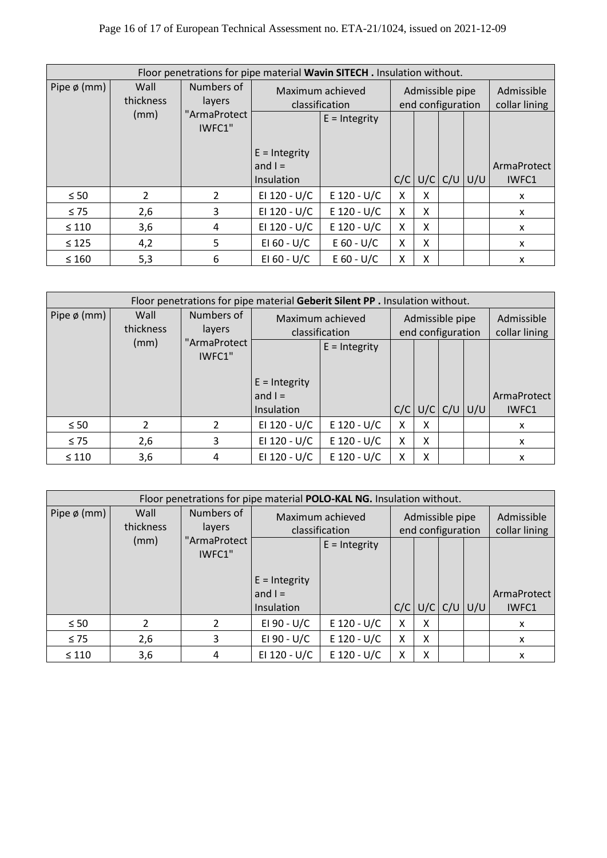### Page 16 of 17 of European Technical Assessment no. ETA-21/1024, issued on 2021-12-09

|                  |                   | Floor penetrations for pipe material Wavin SITECH. Insulation without. |                                    |                 |     |   |  |                                      |             |  |  |  |
|------------------|-------------------|------------------------------------------------------------------------|------------------------------------|-----------------|-----|---|--|--------------------------------------|-------------|--|--|--|
| Pipe $\phi$ (mm) | Wall<br>thickness | Numbers of<br>layers                                                   | Maximum achieved<br>classification |                 |     |   |  | Admissible pipe<br>end configuration |             |  |  |  |
|                  | (mm)              | "ArmaProtect<br>IWFC1"                                                 |                                    | $E =$ Integrity |     |   |  |                                      |             |  |  |  |
|                  |                   |                                                                        | $E =$ Integrity<br>and $I =$       |                 |     |   |  |                                      | ArmaProtect |  |  |  |
|                  |                   |                                                                        | Insulation                         |                 | C/C |   |  | $U/C$ $C/U$ $U/U$                    | IWFC1       |  |  |  |
| $\leq 50$        | $\overline{2}$    | $\mathcal{L}$                                                          | EI 120 - U/C                       | $E$ 120 - U/C   | x   | x |  |                                      | x           |  |  |  |
| $\leq 75$        | 2,6               | 3                                                                      | EI 120 - U/C                       | $E$ 120 - U/C   | X   | X |  |                                      | x           |  |  |  |
| $\leq 110$       | 3,6               | 4                                                                      | EI 120 - U/C                       | $E$ 120 - U/C   | X   | X |  |                                      | X           |  |  |  |
| $\leq 125$       | 4,2               | 5                                                                      | EI 60 - U/C                        | $E 60 - U/C$    | X   | X |  |                                      | x           |  |  |  |
| $\leq 160$       | 5,3               | 6                                                                      | EI 60 - U/C                        | $E 60 - U/C$    | X   | X |  |                                      | X           |  |  |  |

| Floor penetrations for pipe material Geberit Silent PP . Insulation without. |                                           |                        |                                            |                                    |     |   |                                      |                     |                      |  |  |
|------------------------------------------------------------------------------|-------------------------------------------|------------------------|--------------------------------------------|------------------------------------|-----|---|--------------------------------------|---------------------|----------------------|--|--|
| Pipe $\phi$ (mm)                                                             | Numbers of<br>Wall<br>thickness<br>layers |                        |                                            | Maximum achieved<br>classification |     |   | Admissible pipe<br>end configuration |                     |                      |  |  |
|                                                                              | (mm)                                      | "ArmaProtect<br>IWFC1" | $E =$ Integrity<br>and $I =$<br>Insulation | $E =$ Integrity                    | C/C |   |                                      | $U/C$ $C/U$ $ U/U $ | ArmaProtect<br>IWFC1 |  |  |
| $\leq 50$                                                                    | $\mathcal{P}$                             | $\mathcal{P}$          | EI 120 - U/C                               | $E$ 120 - U/C                      | x   | X |                                      |                     | X                    |  |  |
| $\leq 75$                                                                    | 2,6                                       | 3                      | EI 120 - U/C                               | $E$ 120 - U/C                      | X   | X |                                      |                     | $\mathsf{x}$         |  |  |
| $\leq 110$                                                                   | 3,6                                       | 4                      | EI 120 - U/C                               | $E$ 120 - U/C                      | X   | X |                                      |                     | X                    |  |  |

| Floor penetrations for pipe material POLO-KAL NG. Insulation without. |                   |                        |                                            |                                    |   |                                      |                             |                         |                      |  |
|-----------------------------------------------------------------------|-------------------|------------------------|--------------------------------------------|------------------------------------|---|--------------------------------------|-----------------------------|-------------------------|----------------------|--|
| Pipe $\phi$ (mm)                                                      | Wall<br>thickness | Numbers of<br>layers   |                                            | Maximum achieved<br>classification |   | Admissible pipe<br>end configuration | Admissible<br>collar lining |                         |                      |  |
|                                                                       | (mm)              | "ArmaProtect<br>IWFC1" |                                            | $E =$ Integrity                    |   |                                      |                             |                         |                      |  |
|                                                                       |                   |                        | $E =$ Integrity<br>and $I =$<br>Insulation |                                    |   |                                      |                             | $C/C$ $U/C$ $C/U$ $U/U$ | ArmaProtect<br>IWFC1 |  |
| $\leq 50$                                                             | 2                 | $\mathfrak{p}$         | EI 90 - U/C                                | $E$ 120 - U/C                      | X | X                                    |                             |                         | X                    |  |
| $\leq 75$                                                             | 2,6               | 3                      | EI 90 - U/C                                | $E$ 120 - U/C                      | X | X                                    |                             |                         | X                    |  |
| $\leq 110$                                                            | 3,6               | 4                      | EI 120 - U/C                               | $E$ 120 - U/C                      | Χ | X                                    |                             |                         | x                    |  |